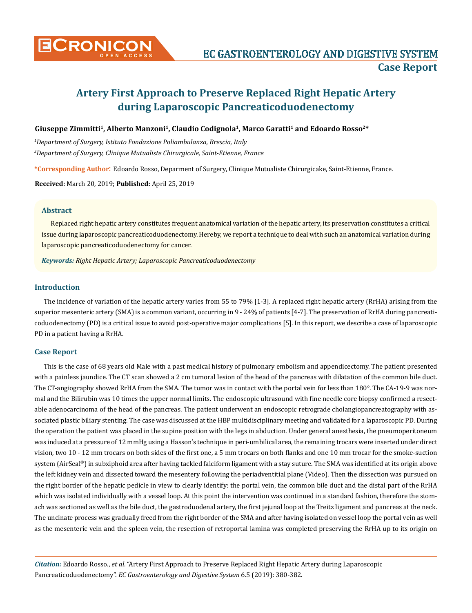

# **Artery First Approach to Preserve Replaced Right Hepatic Artery during Laparoscopic Pancreaticoduodenectomy**

### Giuseppe Zimmitti<sup>1</sup>, Alberto Manzoni<sup>1</sup>, Claudio Codignola<sup>1</sup>, Marco Garatti<sup>1</sup> and Edoardo Rosso<sup>2\*</sup>

*1 Department of Surgery, Istituto Fondazione Poliambulanza, Brescia, Italy 2 Department of Surgery, Clinique Mutualiste Chirurgicale, Saint-Etienne, France*

**\*Corresponding Author**: Edoardo Rosso, Deparment of Surgery, Clinique Mutualiste Chirurgicake, Saint-Etienne, France.

**Received:** March 20, 2019; **Published:** April 25, 2019

#### **Abstract**

Replaced right hepatic artery constitutes frequent anatomical variation of the hepatic artery, its preservation constitutes a critical issue during laparoscopic pancreaticoduodenectomy. Hereby, we report a technique to deal with such an anatomical variation during laparoscopic pancreaticoduodenectomy for cancer.

*Keywords: Right Hepatic Artery; Laparoscopic Pancreaticoduodenectomy*

### **Introduction**

The incidence of variation of the hepatic artery varies from 55 to 79% [1-3]. A replaced right hepatic artery (RrHA) arising from the superior mesenteric artery (SMA) is a common variant, occurring in 9 - 24% of patients [4-7]. The preservation of RrHA during pancreaticoduodenectomy (PD) is a critical issue to avoid post-operative major complications [5]. In this report, we describe a case of laparoscopic PD in a patient having a RrHA.

#### **Case Report**

This is the case of 68 years old Male with a past medical history of pulmonary embolism and appendicectomy. The patient presented with a painless jaundice. The CT scan showed a 2 cm tumoral lesion of the head of the pancreas with dilatation of the common bile duct. The CT-angiography showed RrHA from the SMA. The tumor was in contact with the portal vein for less than 180°. The CA-19-9 was normal and the Bilirubin was 10 times the upper normal limits. The endoscopic ultrasound with fine needle core biopsy confirmed a resectable adenocarcinoma of the head of the pancreas. The patient underwent an endoscopic retrograde cholangiopancreatography with associated plastic biliary stenting. The case was discussed at the HBP multidisciplinary meeting and validated for a laparoscopic PD. During the operation the patient was placed in the supine position with the legs in abduction. Under general anesthesia, the pneumoperitoneum was induced at a pressure of 12 mmHg using a Hasson's technique in peri-umbilical area, the remaining trocars were inserted under direct vision, two 10 - 12 mm trocars on both sides of the first one, a 5 mm trocars on both flanks and one 10 mm trocar for the smoke-suction system (AirSeal®) in subxiphoid area after having tackled falciform ligament with a stay suture. The SMA was identified at its origin above the left kidney vein and dissected toward the mesentery following the periadventitial plane (Video). Then the dissection was pursued on the right border of the hepatic pedicle in view to clearly identify: the portal vein, the common bile duct and the distal part of the RrHA which was isolated individually with a vessel loop. At this point the intervention was continued in a standard fashion, therefore the stomach was sectioned as well as the bile duct, the gastroduodenal artery, the first jejunal loop at the Treitz ligament and pancreas at the neck. The uncinate process was gradually freed from the right border of the SMA and after having isolated on vessel loop the portal vein as well as the mesenteric vein and the spleen vein, the resection of retroportal lamina was completed preserving the RrHA up to its origin on

*Citation:* Edoardo Rosso., *et al*. "Artery First Approach to Preserve Replaced Right Hepatic Artery during Laparoscopic Pancreaticoduodenectomy". *EC Gastroenterology and Digestive System* 6.5 (2019): 380-382.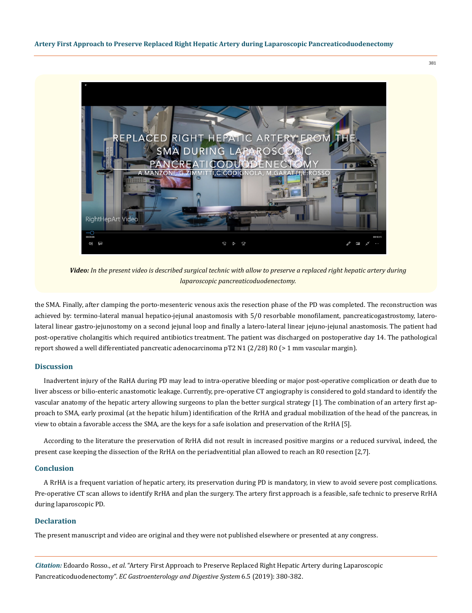



*Video: In the present video is described surgical technic with allow to preserve a replaced right hepatic artery during laparoscopic pancreaticoduodenectomy.*

the SMA. Finally, after clamping the porto-mesenteric venous axis the resection phase of the PD was completed. The reconstruction was achieved by: termino-lateral manual hepatico-jejunal anastomosis with 5/0 resorbable monofilament, pancreaticogastrostomy, laterolateral linear gastro-jejunostomy on a second jejunal loop and finally a latero-lateral linear jejuno-jejunal anastomosis. The patient had post-operative cholangitis which required antibiotics treatment. The patient was discharged on postoperative day 14. The pathological report showed a well differentiated pancreatic adenocarcinoma pT2 N1 (2/28) R0 (> 1 mm vascular margin).

#### **Discussion**

Inadvertent injury of the RaHA during PD may lead to intra-operative bleeding or major post-operative complication or death due to liver abscess or bilio-enteric anastomotic leakage. Currently, pre-operative CT angiography is considered to gold standard to identify the vascular anatomy of the hepatic artery allowing surgeons to plan the better surgical strategy [1]. The combination of an artery first approach to SMA, early proximal (at the hepatic hilum) identification of the RrHA and gradual mobilization of the head of the pancreas, in view to obtain a favorable access the SMA, are the keys for a safe isolation and preservation of the RrHA [5].

According to the literature the preservation of RrHA did not result in increased positive margins or a reduced survival, indeed, the present case keeping the dissection of the RrHA on the periadventitial plan allowed to reach an R0 resection [2,7].

#### **Conclusion**

A RrHA is a frequent variation of hepatic artery, its preservation during PD is mandatory, in view to avoid severe post complications. Pre-operative CT scan allows to identify RrHA and plan the surgery. The artery first approach is a feasible, safe technic to preserve RrHA during laparoscopic PD.

#### **Declaration**

The present manuscript and video are original and they were not published elsewhere or presented at any congress.

*Citation:* Edoardo Rosso., *et al*. "Artery First Approach to Preserve Replaced Right Hepatic Artery during Laparoscopic Pancreaticoduodenectomy". *EC Gastroenterology and Digestive System* 6.5 (2019): 380-382.